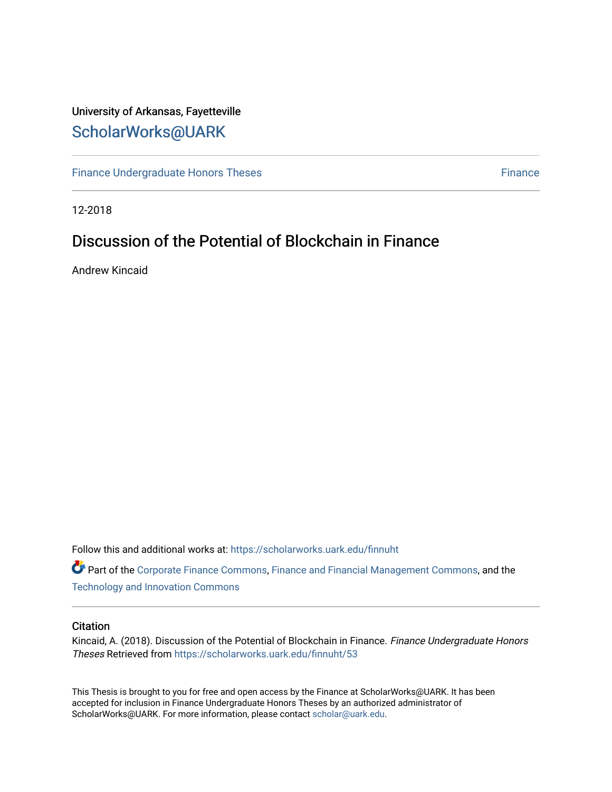# University of Arkansas, Fayetteville [ScholarWorks@UARK](https://scholarworks.uark.edu/)

[Finance Undergraduate Honors Theses](https://scholarworks.uark.edu/finnuht) [Finance](https://scholarworks.uark.edu/finn) Finance Finance

12-2018

# Discussion of the Potential of Blockchain in Finance

Andrew Kincaid

Follow this and additional works at: [https://scholarworks.uark.edu/finnuht](https://scholarworks.uark.edu/finnuht?utm_source=scholarworks.uark.edu%2Ffinnuht%2F53&utm_medium=PDF&utm_campaign=PDFCoverPages)

Part of the [Corporate Finance Commons](http://network.bepress.com/hgg/discipline/629?utm_source=scholarworks.uark.edu%2Ffinnuht%2F53&utm_medium=PDF&utm_campaign=PDFCoverPages), [Finance and Financial Management Commons](http://network.bepress.com/hgg/discipline/631?utm_source=scholarworks.uark.edu%2Ffinnuht%2F53&utm_medium=PDF&utm_campaign=PDFCoverPages), and the [Technology and Innovation Commons](http://network.bepress.com/hgg/discipline/644?utm_source=scholarworks.uark.edu%2Ffinnuht%2F53&utm_medium=PDF&utm_campaign=PDFCoverPages) 

#### **Citation**

Kincaid, A. (2018). Discussion of the Potential of Blockchain in Finance. Finance Undergraduate Honors Theses Retrieved from [https://scholarworks.uark.edu/finnuht/53](https://scholarworks.uark.edu/finnuht/53?utm_source=scholarworks.uark.edu%2Ffinnuht%2F53&utm_medium=PDF&utm_campaign=PDFCoverPages) 

This Thesis is brought to you for free and open access by the Finance at ScholarWorks@UARK. It has been accepted for inclusion in Finance Undergraduate Honors Theses by an authorized administrator of ScholarWorks@UARK. For more information, please contact [scholar@uark.edu](mailto:scholar@uark.edu).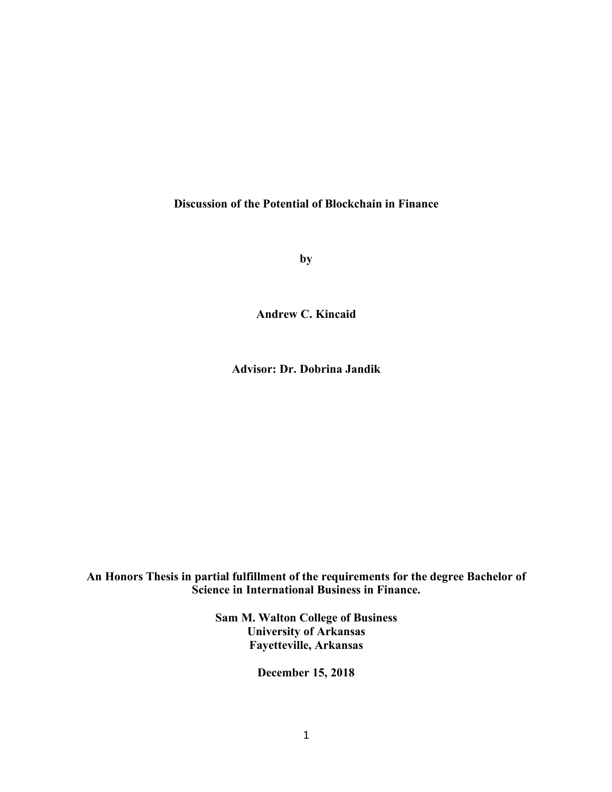## **Discussion of the Potential of Blockchain in Finance**

**by**

**Andrew C. Kincaid**

**Advisor: Dr. Dobrina Jandik**

**An Honors Thesis in partial fulfillment of the requirements for the degree Bachelor of Science in International Business in Finance.**

> **Sam M. Walton College of Business University of Arkansas Fayetteville, Arkansas**

> > **December 15, 2018**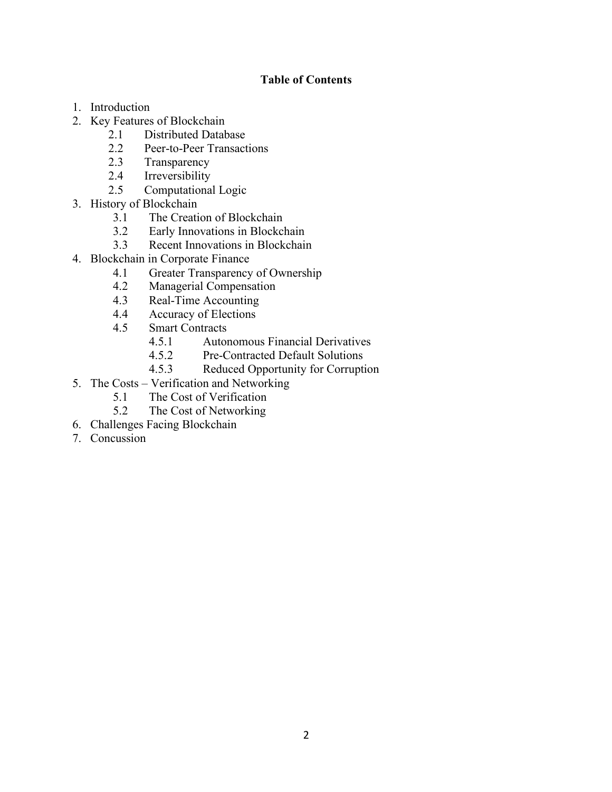# **Table of Contents**

- 1. Introduction
- 2. Key Features of Blockchain
	- 2.1 Distributed Database
	- 2.2 Peer-to-Peer Transactions
	- 2.3 Transparency
	- 2.4 Irreversibility
	- 2.5 Computational Logic
- 3. History of Blockchain
	- 3.1 The Creation of Blockchain
	- 3.2 Early Innovations in Blockchain
	- 3.3 Recent Innovations in Blockchain
- 4. Blockchain in Corporate Finance
	- 4.1 Greater Transparency of Ownership
	- 4.2 Managerial Compensation
	- 4.3 Real-Time Accounting
	- 4.4 Accuracy of Elections
	- 4.5 Smart Contracts
		- 4.5.1 Autonomous Financial Derivatives
		- 4.5.2 Pre-Contracted Default Solutions
		- 4.5.3 Reduced Opportunity for Corruption
- 5. The Costs Verification and Networking
	- 5.1 The Cost of Verification
	- 5.2 The Cost of Networking
- 6. Challenges Facing Blockchain
- 7. Concussion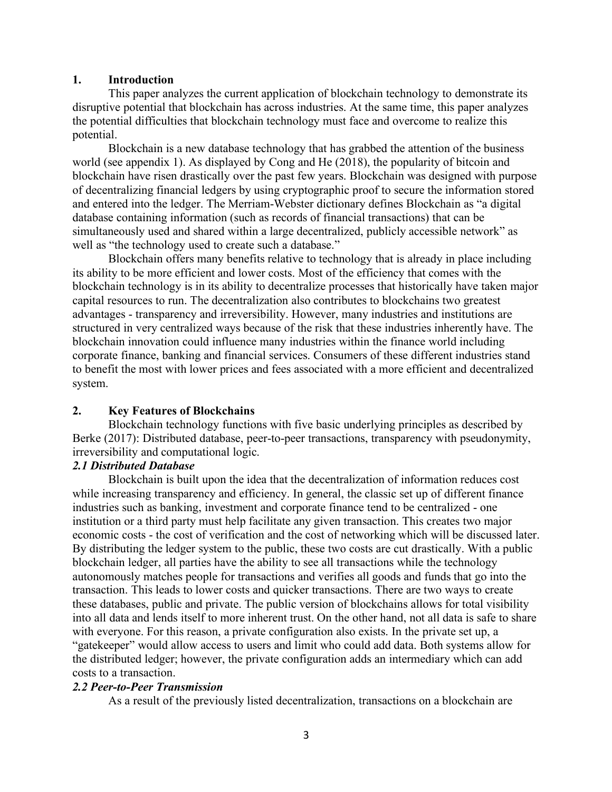# **1. Introduction**

This paper analyzes the current application of blockchain technology to demonstrate its disruptive potential that blockchain has across industries. At the same time, this paper analyzes the potential difficulties that blockchain technology must face and overcome to realize this potential.

Blockchain is a new database technology that has grabbed the attention of the business world (see appendix 1). As displayed by Cong and He (2018), the popularity of bitcoin and blockchain have risen drastically over the past few years. Blockchain was designed with purpose of decentralizing financial ledgers by using cryptographic proof to secure the information stored and entered into the ledger. The Merriam-Webster dictionary defines Blockchain as "a digital database containing information (such as records of financial transactions) that can be simultaneously used and shared within a large decentralized, publicly accessible network" as well as "the technology used to create such a database."

Blockchain offers many benefits relative to technology that is already in place including its ability to be more efficient and lower costs. Most of the efficiency that comes with the blockchain technology is in its ability to decentralize processes that historically have taken major capital resources to run. The decentralization also contributes to blockchains two greatest advantages - transparency and irreversibility. However, many industries and institutions are structured in very centralized ways because of the risk that these industries inherently have. The blockchain innovation could influence many industries within the finance world including corporate finance, banking and financial services. Consumers of these different industries stand to benefit the most with lower prices and fees associated with a more efficient and decentralized system.

## **2. Key Features of Blockchains**

Blockchain technology functions with five basic underlying principles as described by Berke (2017): Distributed database, peer-to-peer transactions, transparency with pseudonymity, irreversibility and computational logic.

## *2.1 Distributed Database*

Blockchain is built upon the idea that the decentralization of information reduces cost while increasing transparency and efficiency. In general, the classic set up of different finance industries such as banking, investment and corporate finance tend to be centralized - one institution or a third party must help facilitate any given transaction. This creates two major economic costs - the cost of verification and the cost of networking which will be discussed later. By distributing the ledger system to the public, these two costs are cut drastically. With a public blockchain ledger, all parties have the ability to see all transactions while the technology autonomously matches people for transactions and verifies all goods and funds that go into the transaction. This leads to lower costs and quicker transactions. There are two ways to create these databases, public and private. The public version of blockchains allows for total visibility into all data and lends itself to more inherent trust. On the other hand, not all data is safe to share with everyone. For this reason, a private configuration also exists. In the private set up, a "gatekeeper" would allow access to users and limit who could add data. Both systems allow for the distributed ledger; however, the private configuration adds an intermediary which can add costs to a transaction.

## *2.2 Peer-to-Peer Transmission*

As a result of the previously listed decentralization, transactions on a blockchain are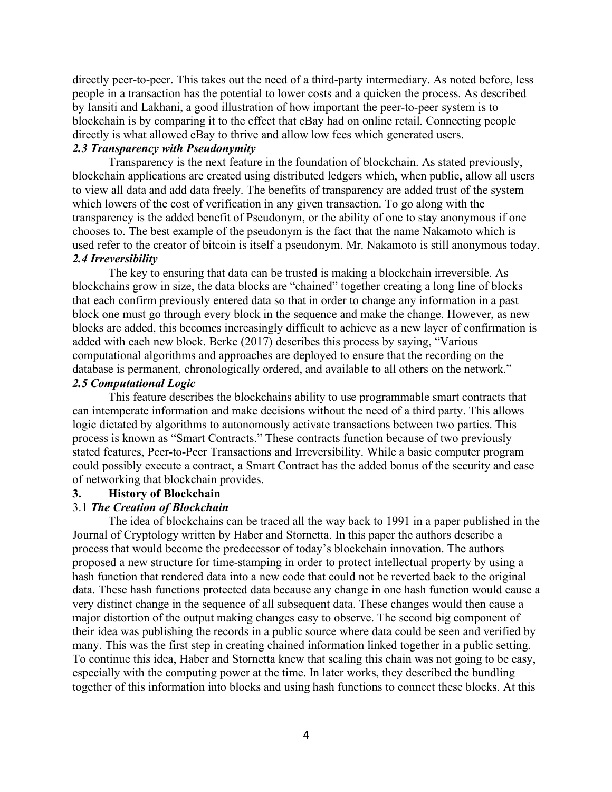directly peer-to-peer. This takes out the need of a third-party intermediary. As noted before, less people in a transaction has the potential to lower costs and a quicken the process. As described by Iansiti and Lakhani, a good illustration of how important the peer-to-peer system is to blockchain is by comparing it to the effect that eBay had on online retail. Connecting people directly is what allowed eBay to thrive and allow low fees which generated users.

# *2.3 Transparency with Pseudonymity*

Transparency is the next feature in the foundation of blockchain. As stated previously, blockchain applications are created using distributed ledgers which, when public, allow all users to view all data and add data freely. The benefits of transparency are added trust of the system which lowers of the cost of verification in any given transaction. To go along with the transparency is the added benefit of Pseudonym, or the ability of one to stay anonymous if one chooses to. The best example of the pseudonym is the fact that the name Nakamoto which is used refer to the creator of bitcoin is itself a pseudonym. Mr. Nakamoto is still anonymous today. *2.4 Irreversibility*

The key to ensuring that data can be trusted is making a blockchain irreversible. As blockchains grow in size, the data blocks are "chained" together creating a long line of blocks that each confirm previously entered data so that in order to change any information in a past block one must go through every block in the sequence and make the change. However, as new blocks are added, this becomes increasingly difficult to achieve as a new layer of confirmation is added with each new block. Berke (2017) describes this process by saying, "Various computational algorithms and approaches are deployed to ensure that the recording on the database is permanent, chronologically ordered, and available to all others on the network."

# *2.5 Computational Logic*

This feature describes the blockchains ability to use programmable smart contracts that can intemperate information and make decisions without the need of a third party. This allows logic dictated by algorithms to autonomously activate transactions between two parties. This process is known as "Smart Contracts." These contracts function because of two previously stated features, Peer-to-Peer Transactions and Irreversibility. While a basic computer program could possibly execute a contract, a Smart Contract has the added bonus of the security and ease of networking that blockchain provides.

### **3. History of Blockchain**

#### 3.1 *The Creation of Blockchain*

The idea of blockchains can be traced all the way back to 1991 in a paper published in the Journal of Cryptology written by Haber and Stornetta. In this paper the authors describe a process that would become the predecessor of today's blockchain innovation. The authors proposed a new structure for time-stamping in order to protect intellectual property by using a hash function that rendered data into a new code that could not be reverted back to the original data. These hash functions protected data because any change in one hash function would cause a very distinct change in the sequence of all subsequent data. These changes would then cause a major distortion of the output making changes easy to observe. The second big component of their idea was publishing the records in a public source where data could be seen and verified by many. This was the first step in creating chained information linked together in a public setting. To continue this idea, Haber and Stornetta knew that scaling this chain was not going to be easy, especially with the computing power at the time. In later works, they described the bundling together of this information into blocks and using hash functions to connect these blocks. At this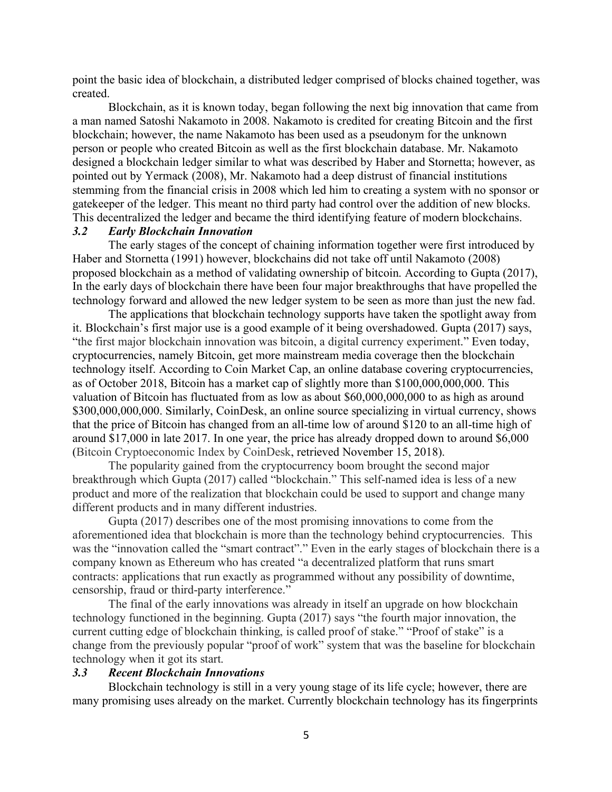point the basic idea of blockchain, a distributed ledger comprised of blocks chained together, was created.

Blockchain, as it is known today, began following the next big innovation that came from a man named Satoshi Nakamoto in 2008. Nakamoto is credited for creating Bitcoin and the first blockchain; however, the name Nakamoto has been used as a pseudonym for the unknown person or people who created Bitcoin as well as the first blockchain database. Mr. Nakamoto designed a blockchain ledger similar to what was described by Haber and Stornetta; however, as pointed out by Yermack (2008), Mr. Nakamoto had a deep distrust of financial institutions stemming from the financial crisis in 2008 which led him to creating a system with no sponsor or gatekeeper of the ledger. This meant no third party had control over the addition of new blocks. This decentralized the ledger and became the third identifying feature of modern blockchains.

## *3.2 Early Blockchain Innovation*

The early stages of the concept of chaining information together were first introduced by Haber and Stornetta (1991) however, blockchains did not take off until Nakamoto (2008) proposed blockchain as a method of validating ownership of bitcoin. According to Gupta (2017), In the early days of blockchain there have been four major breakthroughs that have propelled the technology forward and allowed the new ledger system to be seen as more than just the new fad.

The applications that blockchain technology supports have taken the spotlight away from it. Blockchain's first major use is a good example of it being overshadowed. Gupta (2017) says, "the first major blockchain innovation was bitcoin, a digital currency experiment." Even today, cryptocurrencies, namely Bitcoin, get more mainstream media coverage then the blockchain technology itself. According to Coin Market Cap, an online database covering cryptocurrencies, as of October 2018, Bitcoin has a market cap of slightly more than \$100,000,000,000. This valuation of Bitcoin has fluctuated from as low as about \$60,000,000,000 to as high as around \$300,000,000,000. Similarly, CoinDesk, an online source specializing in virtual currency, shows that the price of Bitcoin has changed from an all-time low of around \$120 to an all-time high of around \$17,000 in late 2017. In one year, the price has already dropped down to around \$6,000 (Bitcoin Cryptoeconomic Index by CoinDesk, retrieved November 15, 2018).

The popularity gained from the cryptocurrency boom brought the second major breakthrough which Gupta (2017) called "blockchain." This self-named idea is less of a new product and more of the realization that blockchain could be used to support and change many different products and in many different industries.

Gupta (2017) describes one of the most promising innovations to come from the aforementioned idea that blockchain is more than the technology behind cryptocurrencies. This was the "innovation called the "smart contract"." Even in the early stages of blockchain there is a company known as Ethereum who has created "a decentralized platform that runs smart contracts: applications that run exactly as programmed without any possibility of downtime, censorship, fraud or third-party interference."

The final of the early innovations was already in itself an upgrade on how blockchain technology functioned in the beginning. Gupta (2017) says "the fourth major innovation, the current cutting edge of blockchain thinking, is called proof of stake." "Proof of stake" is a change from the previously popular "proof of work" system that was the baseline for blockchain technology when it got its start.

## *3.3 Recent Blockchain Innovations*

Blockchain technology is still in a very young stage of its life cycle; however, there are many promising uses already on the market. Currently blockchain technology has its fingerprints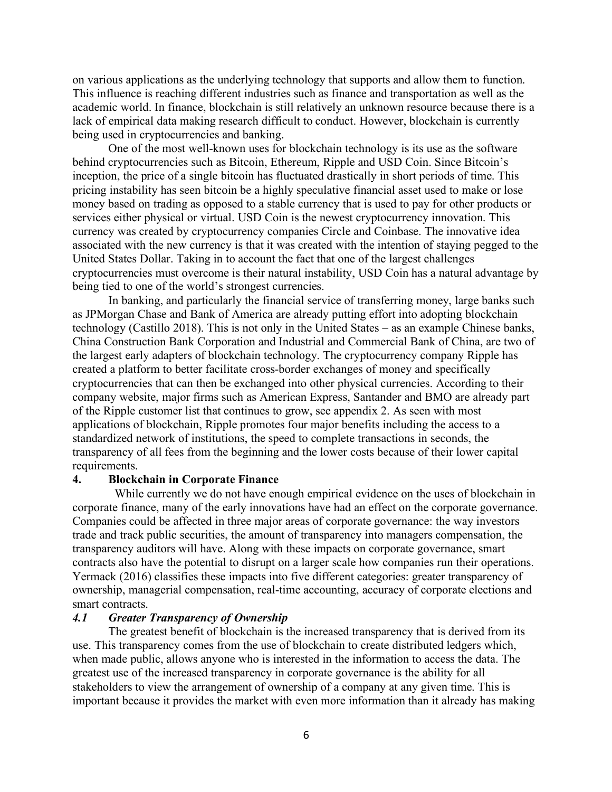on various applications as the underlying technology that supports and allow them to function. This influence is reaching different industries such as finance and transportation as well as the academic world. In finance, blockchain is still relatively an unknown resource because there is a lack of empirical data making research difficult to conduct. However, blockchain is currently being used in cryptocurrencies and banking.

One of the most well-known uses for blockchain technology is its use as the software behind cryptocurrencies such as Bitcoin, Ethereum, Ripple and USD Coin. Since Bitcoin's inception, the price of a single bitcoin has fluctuated drastically in short periods of time. This pricing instability has seen bitcoin be a highly speculative financial asset used to make or lose money based on trading as opposed to a stable currency that is used to pay for other products or services either physical or virtual. USD Coin is the newest cryptocurrency innovation. This currency was created by cryptocurrency companies Circle and Coinbase. The innovative idea associated with the new currency is that it was created with the intention of staying pegged to the United States Dollar. Taking in to account the fact that one of the largest challenges cryptocurrencies must overcome is their natural instability, USD Coin has a natural advantage by being tied to one of the world's strongest currencies.

In banking, and particularly the financial service of transferring money, large banks such as JPMorgan Chase and Bank of America are already putting effort into adopting blockchain technology (Castillo 2018). This is not only in the United States – as an example Chinese banks, China Construction Bank Corporation and Industrial and Commercial Bank of China, are two of the largest early adapters of blockchain technology. The cryptocurrency company Ripple has created a platform to better facilitate cross-border exchanges of money and specifically cryptocurrencies that can then be exchanged into other physical currencies. According to their company website, major firms such as American Express, Santander and BMO are already part of the Ripple customer list that continues to grow, see appendix 2. As seen with most applications of blockchain, Ripple promotes four major benefits including the access to a standardized network of institutions, the speed to complete transactions in seconds, the transparency of all fees from the beginning and the lower costs because of their lower capital requirements.

#### **4. Blockchain in Corporate Finance**

 While currently we do not have enough empirical evidence on the uses of blockchain in corporate finance, many of the early innovations have had an effect on the corporate governance. Companies could be affected in three major areas of corporate governance: the way investors trade and track public securities, the amount of transparency into managers compensation, the transparency auditors will have. Along with these impacts on corporate governance, smart contracts also have the potential to disrupt on a larger scale how companies run their operations. Yermack (2016) classifies these impacts into five different categories: greater transparency of ownership, managerial compensation, real-time accounting, accuracy of corporate elections and smart contracts.

#### *4.1 Greater Transparency of Ownership*

The greatest benefit of blockchain is the increased transparency that is derived from its use. This transparency comes from the use of blockchain to create distributed ledgers which, when made public, allows anyone who is interested in the information to access the data. The greatest use of the increased transparency in corporate governance is the ability for all stakeholders to view the arrangement of ownership of a company at any given time. This is important because it provides the market with even more information than it already has making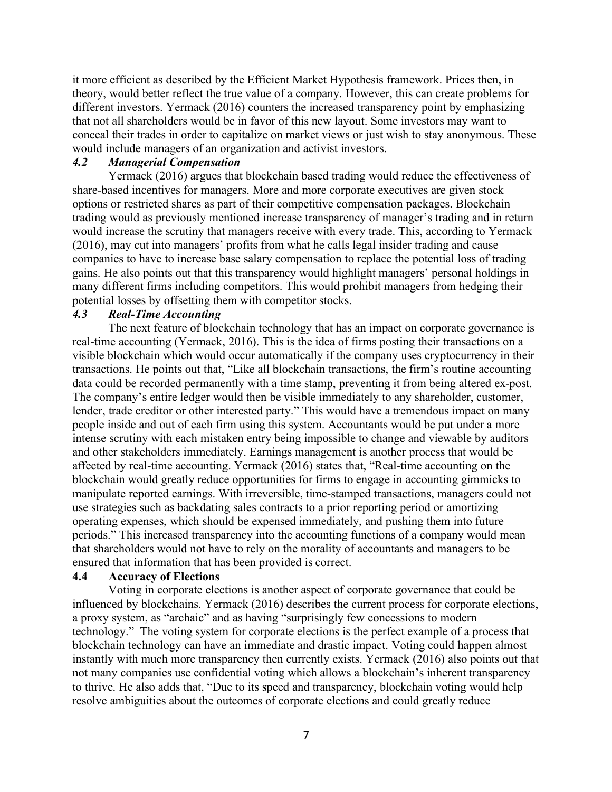it more efficient as described by the Efficient Market Hypothesis framework. Prices then, in theory, would better reflect the true value of a company. However, this can create problems for different investors. Yermack (2016) counters the increased transparency point by emphasizing that not all shareholders would be in favor of this new layout. Some investors may want to conceal their trades in order to capitalize on market views or just wish to stay anonymous. These would include managers of an organization and activist investors.

### *4.2 Managerial Compensation*

Yermack (2016) argues that blockchain based trading would reduce the effectiveness of share-based incentives for managers. More and more corporate executives are given stock options or restricted shares as part of their competitive compensation packages. Blockchain trading would as previously mentioned increase transparency of manager's trading and in return would increase the scrutiny that managers receive with every trade. This, according to Yermack (2016), may cut into managers' profits from what he calls legal insider trading and cause companies to have to increase base salary compensation to replace the potential loss of trading gains. He also points out that this transparency would highlight managers' personal holdings in many different firms including competitors. This would prohibit managers from hedging their potential losses by offsetting them with competitor stocks.

### *4.3 Real-Time Accounting*

The next feature of blockchain technology that has an impact on corporate governance is real-time accounting (Yermack, 2016). This is the idea of firms posting their transactions on a visible blockchain which would occur automatically if the company uses cryptocurrency in their transactions. He points out that, "Like all blockchain transactions, the firm's routine accounting data could be recorded permanently with a time stamp, preventing it from being altered ex-post. The company's entire ledger would then be visible immediately to any shareholder, customer, lender, trade creditor or other interested party." This would have a tremendous impact on many people inside and out of each firm using this system. Accountants would be put under a more intense scrutiny with each mistaken entry being impossible to change and viewable by auditors and other stakeholders immediately. Earnings management is another process that would be affected by real-time accounting. Yermack (2016) states that, "Real-time accounting on the blockchain would greatly reduce opportunities for firms to engage in accounting gimmicks to manipulate reported earnings. With irreversible, time-stamped transactions, managers could not use strategies such as backdating sales contracts to a prior reporting period or amortizing operating expenses, which should be expensed immediately, and pushing them into future periods." This increased transparency into the accounting functions of a company would mean that shareholders would not have to rely on the morality of accountants and managers to be ensured that information that has been provided is correct.

#### **4.4 Accuracy of Elections**

Voting in corporate elections is another aspect of corporate governance that could be influenced by blockchains. Yermack (2016) describes the current process for corporate elections, a proxy system, as "archaic" and as having "surprisingly few concessions to modern technology." The voting system for corporate elections is the perfect example of a process that blockchain technology can have an immediate and drastic impact. Voting could happen almost instantly with much more transparency then currently exists. Yermack (2016) also points out that not many companies use confidential voting which allows a blockchain's inherent transparency to thrive. He also adds that, "Due to its speed and transparency, blockchain voting would help resolve ambiguities about the outcomes of corporate elections and could greatly reduce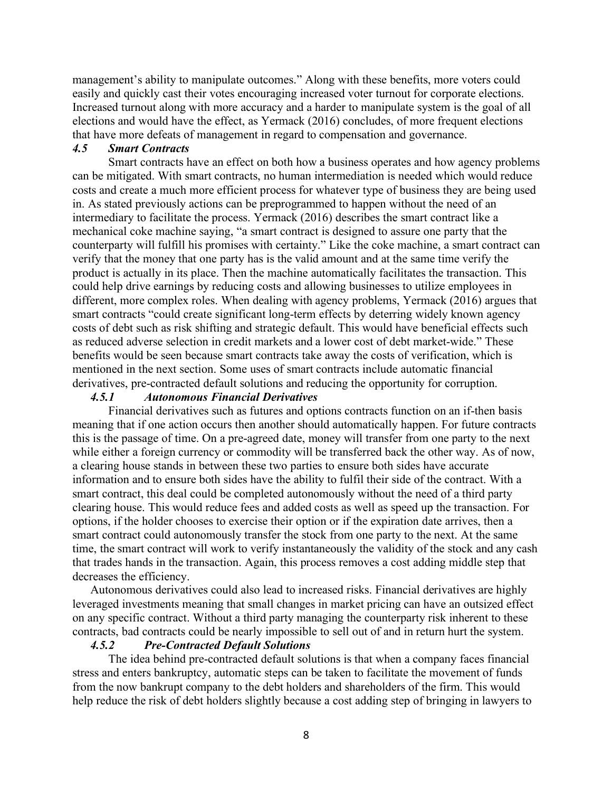management's ability to manipulate outcomes." Along with these benefits, more voters could easily and quickly cast their votes encouraging increased voter turnout for corporate elections. Increased turnout along with more accuracy and a harder to manipulate system is the goal of all elections and would have the effect, as Yermack (2016) concludes, of more frequent elections that have more defeats of management in regard to compensation and governance.

#### *4.5 Smart Contracts*

Smart contracts have an effect on both how a business operates and how agency problems can be mitigated. With smart contracts, no human intermediation is needed which would reduce costs and create a much more efficient process for whatever type of business they are being used in. As stated previously actions can be preprogrammed to happen without the need of an intermediary to facilitate the process. Yermack (2016) describes the smart contract like a mechanical coke machine saying, "a smart contract is designed to assure one party that the counterparty will fulfill his promises with certainty." Like the coke machine, a smart contract can verify that the money that one party has is the valid amount and at the same time verify the product is actually in its place. Then the machine automatically facilitates the transaction. This could help drive earnings by reducing costs and allowing businesses to utilize employees in different, more complex roles. When dealing with agency problems, Yermack (2016) argues that smart contracts "could create significant long-term effects by deterring widely known agency costs of debt such as risk shifting and strategic default. This would have beneficial effects such as reduced adverse selection in credit markets and a lower cost of debt market-wide." These benefits would be seen because smart contracts take away the costs of verification, which is mentioned in the next section. Some uses of smart contracts include automatic financial derivatives, pre-contracted default solutions and reducing the opportunity for corruption.

#### *4.5.1 Autonomous Financial Derivatives*

Financial derivatives such as futures and options contracts function on an if-then basis meaning that if one action occurs then another should automatically happen. For future contracts this is the passage of time. On a pre-agreed date, money will transfer from one party to the next while either a foreign currency or commodity will be transferred back the other way. As of now, a clearing house stands in between these two parties to ensure both sides have accurate information and to ensure both sides have the ability to fulfil their side of the contract. With a smart contract, this deal could be completed autonomously without the need of a third party clearing house. This would reduce fees and added costs as well as speed up the transaction. For options, if the holder chooses to exercise their option or if the expiration date arrives, then a smart contract could autonomously transfer the stock from one party to the next. At the same time, the smart contract will work to verify instantaneously the validity of the stock and any cash that trades hands in the transaction. Again, this process removes a cost adding middle step that decreases the efficiency.

Autonomous derivatives could also lead to increased risks. Financial derivatives are highly leveraged investments meaning that small changes in market pricing can have an outsized effect on any specific contract. Without a third party managing the counterparty risk inherent to these contracts, bad contracts could be nearly impossible to sell out of and in return hurt the system.

#### *4.5.2 Pre-Contracted Default Solutions*

The idea behind pre-contracted default solutions is that when a company faces financial stress and enters bankruptcy, automatic steps can be taken to facilitate the movement of funds from the now bankrupt company to the debt holders and shareholders of the firm. This would help reduce the risk of debt holders slightly because a cost adding step of bringing in lawyers to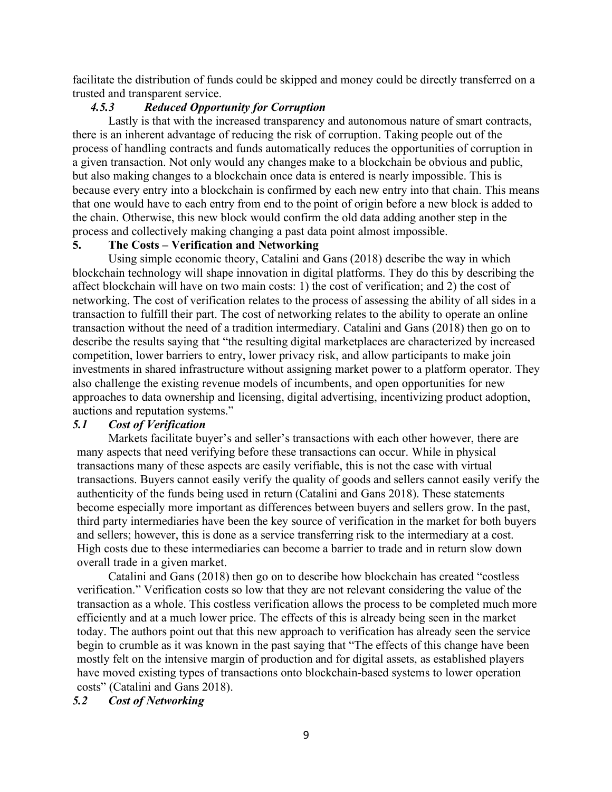facilitate the distribution of funds could be skipped and money could be directly transferred on a trusted and transparent service.

# *4.5.3 Reduced Opportunity for Corruption*

Lastly is that with the increased transparency and autonomous nature of smart contracts, there is an inherent advantage of reducing the risk of corruption. Taking people out of the process of handling contracts and funds automatically reduces the opportunities of corruption in a given transaction. Not only would any changes make to a blockchain be obvious and public, but also making changes to a blockchain once data is entered is nearly impossible. This is because every entry into a blockchain is confirmed by each new entry into that chain. This means that one would have to each entry from end to the point of origin before a new block is added to the chain. Otherwise, this new block would confirm the old data adding another step in the process and collectively making changing a past data point almost impossible.

# **5. The Costs – Verification and Networking**

Using simple economic theory, Catalini and Gans (2018) describe the way in which blockchain technology will shape innovation in digital platforms. They do this by describing the affect blockchain will have on two main costs: 1) the cost of verification; and 2) the cost of networking. The cost of verification relates to the process of assessing the ability of all sides in a transaction to fulfill their part. The cost of networking relates to the ability to operate an online transaction without the need of a tradition intermediary. Catalini and Gans (2018) then go on to describe the results saying that "the resulting digital marketplaces are characterized by increased competition, lower barriers to entry, lower privacy risk, and allow participants to make join investments in shared infrastructure without assigning market power to a platform operator. They also challenge the existing revenue models of incumbents, and open opportunities for new approaches to data ownership and licensing, digital advertising, incentivizing product adoption, auctions and reputation systems."

## *5.1 Cost of Verification*

Markets facilitate buyer's and seller's transactions with each other however, there are many aspects that need verifying before these transactions can occur. While in physical transactions many of these aspects are easily verifiable, this is not the case with virtual transactions. Buyers cannot easily verify the quality of goods and sellers cannot easily verify the authenticity of the funds being used in return (Catalini and Gans 2018). These statements become especially more important as differences between buyers and sellers grow. In the past, third party intermediaries have been the key source of verification in the market for both buyers and sellers; however, this is done as a service transferring risk to the intermediary at a cost. High costs due to these intermediaries can become a barrier to trade and in return slow down overall trade in a given market.

Catalini and Gans (2018) then go on to describe how blockchain has created "costless verification." Verification costs so low that they are not relevant considering the value of the transaction as a whole. This costless verification allows the process to be completed much more efficiently and at a much lower price. The effects of this is already being seen in the market today. The authors point out that this new approach to verification has already seen the service begin to crumble as it was known in the past saying that "The effects of this change have been mostly felt on the intensive margin of production and for digital assets, as established players have moved existing types of transactions onto blockchain-based systems to lower operation costs" (Catalini and Gans 2018).

### *5.2 Cost of Networking*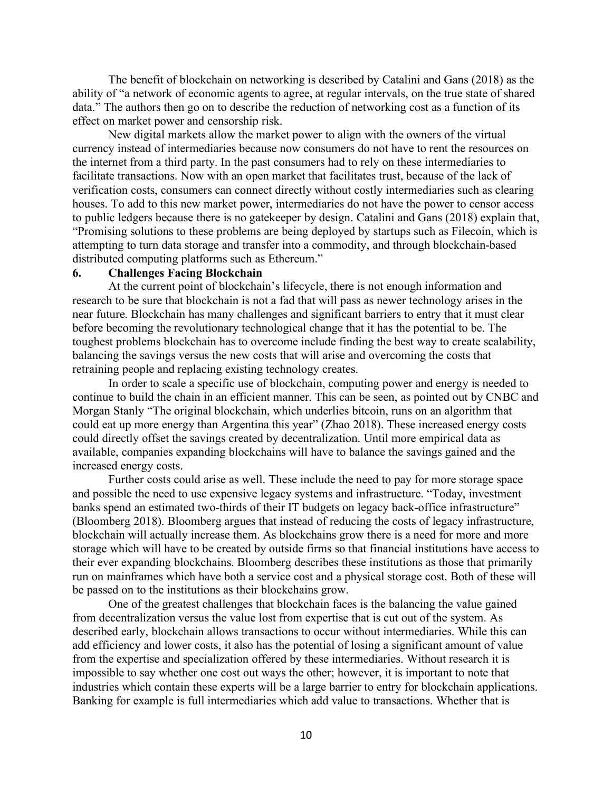The benefit of blockchain on networking is described by Catalini and Gans (2018) as the ability of "a network of economic agents to agree, at regular intervals, on the true state of shared data." The authors then go on to describe the reduction of networking cost as a function of its effect on market power and censorship risk.

New digital markets allow the market power to align with the owners of the virtual currency instead of intermediaries because now consumers do not have to rent the resources on the internet from a third party. In the past consumers had to rely on these intermediaries to facilitate transactions. Now with an open market that facilitates trust, because of the lack of verification costs, consumers can connect directly without costly intermediaries such as clearing houses. To add to this new market power, intermediaries do not have the power to censor access to public ledgers because there is no gatekeeper by design. Catalini and Gans (2018) explain that, "Promising solutions to these problems are being deployed by startups such as Filecoin, which is attempting to turn data storage and transfer into a commodity, and through blockchain-based distributed computing platforms such as Ethereum."

#### **6. Challenges Facing Blockchain**

At the current point of blockchain's lifecycle, there is not enough information and research to be sure that blockchain is not a fad that will pass as newer technology arises in the near future. Blockchain has many challenges and significant barriers to entry that it must clear before becoming the revolutionary technological change that it has the potential to be. The toughest problems blockchain has to overcome include finding the best way to create scalability, balancing the savings versus the new costs that will arise and overcoming the costs that retraining people and replacing existing technology creates.

In order to scale a specific use of blockchain, computing power and energy is needed to continue to build the chain in an efficient manner. This can be seen, as pointed out by CNBC and Morgan Stanly "The original blockchain, which underlies bitcoin, runs on an algorithm that could eat up more energy than Argentina this year" (Zhao 2018). These increased energy costs could directly offset the savings created by decentralization. Until more empirical data as available, companies expanding blockchains will have to balance the savings gained and the increased energy costs.

Further costs could arise as well. These include the need to pay for more storage space and possible the need to use expensive legacy systems and infrastructure. "Today, investment banks spend an estimated two-thirds of their IT budgets on legacy back-office infrastructure" (Bloomberg 2018). Bloomberg argues that instead of reducing the costs of legacy infrastructure, blockchain will actually increase them. As blockchains grow there is a need for more and more storage which will have to be created by outside firms so that financial institutions have access to their ever expanding blockchains. Bloomberg describes these institutions as those that primarily run on mainframes which have both a service cost and a physical storage cost. Both of these will be passed on to the institutions as their blockchains grow.

One of the greatest challenges that blockchain faces is the balancing the value gained from decentralization versus the value lost from expertise that is cut out of the system. As described early, blockchain allows transactions to occur without intermediaries. While this can add efficiency and lower costs, it also has the potential of losing a significant amount of value from the expertise and specialization offered by these intermediaries. Without research it is impossible to say whether one cost out ways the other; however, it is important to note that industries which contain these experts will be a large barrier to entry for blockchain applications. Banking for example is full intermediaries which add value to transactions. Whether that is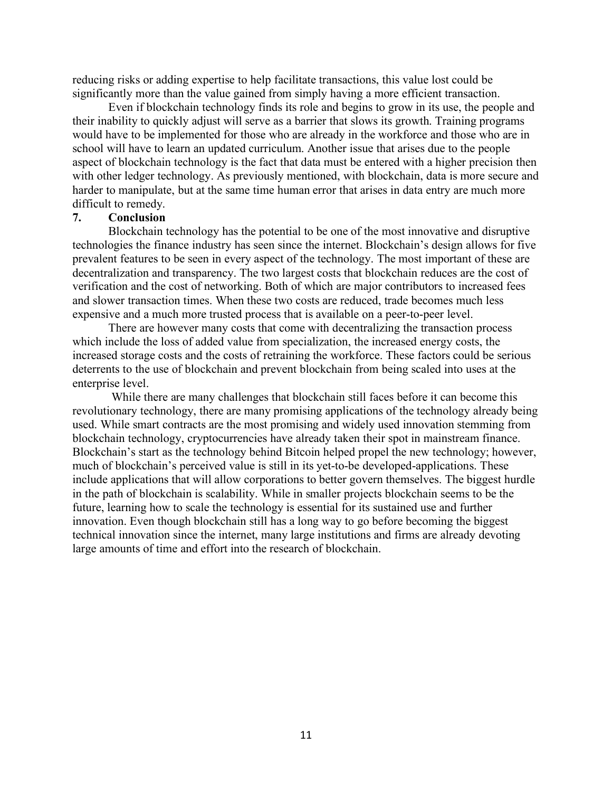reducing risks or adding expertise to help facilitate transactions, this value lost could be significantly more than the value gained from simply having a more efficient transaction.

Even if blockchain technology finds its role and begins to grow in its use, the people and their inability to quickly adjust will serve as a barrier that slows its growth. Training programs would have to be implemented for those who are already in the workforce and those who are in school will have to learn an updated curriculum. Another issue that arises due to the people aspect of blockchain technology is the fact that data must be entered with a higher precision then with other ledger technology. As previously mentioned, with blockchain, data is more secure and harder to manipulate, but at the same time human error that arises in data entry are much more difficult to remedy.

#### **7. Conclusion**

Blockchain technology has the potential to be one of the most innovative and disruptive technologies the finance industry has seen since the internet. Blockchain's design allows for five prevalent features to be seen in every aspect of the technology. The most important of these are decentralization and transparency. The two largest costs that blockchain reduces are the cost of verification and the cost of networking. Both of which are major contributors to increased fees and slower transaction times. When these two costs are reduced, trade becomes much less expensive and a much more trusted process that is available on a peer-to-peer level.

There are however many costs that come with decentralizing the transaction process which include the loss of added value from specialization, the increased energy costs, the increased storage costs and the costs of retraining the workforce. These factors could be serious deterrents to the use of blockchain and prevent blockchain from being scaled into uses at the enterprise level.

While there are many challenges that blockchain still faces before it can become this revolutionary technology, there are many promising applications of the technology already being used. While smart contracts are the most promising and widely used innovation stemming from blockchain technology, cryptocurrencies have already taken their spot in mainstream finance. Blockchain's start as the technology behind Bitcoin helped propel the new technology; however, much of blockchain's perceived value is still in its yet-to-be developed-applications. These include applications that will allow corporations to better govern themselves. The biggest hurdle in the path of blockchain is scalability. While in smaller projects blockchain seems to be the future, learning how to scale the technology is essential for its sustained use and further innovation. Even though blockchain still has a long way to go before becoming the biggest technical innovation since the internet, many large institutions and firms are already devoting large amounts of time and effort into the research of blockchain.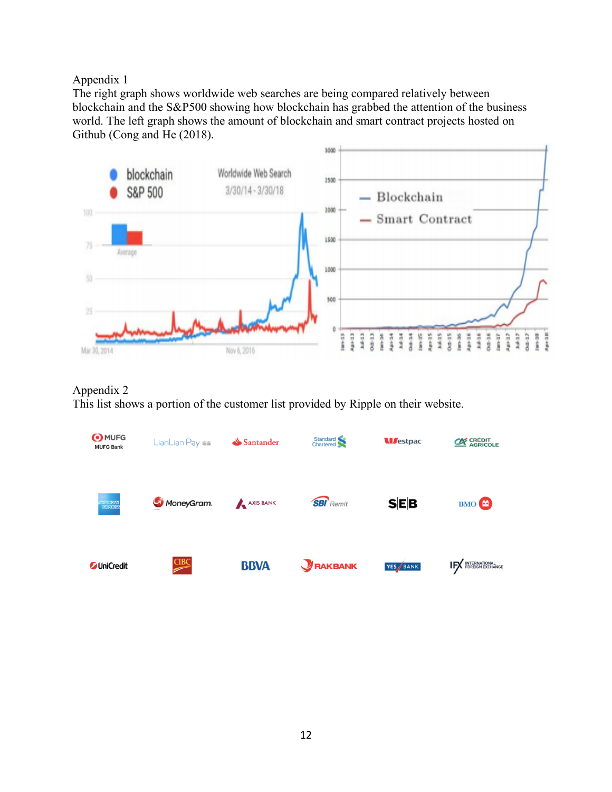# Appendix 1

The right graph shows worldwide web searches are being compared relatively between blockchain and the S&P500 showing how blockchain has grabbed the attention of the business world. The left graph shows the amount of blockchain and smart contract projects hosted on Github (Cong and He (2018).



# Appendix 2

This list shows a portion of the customer list provided by Ripple on their website.